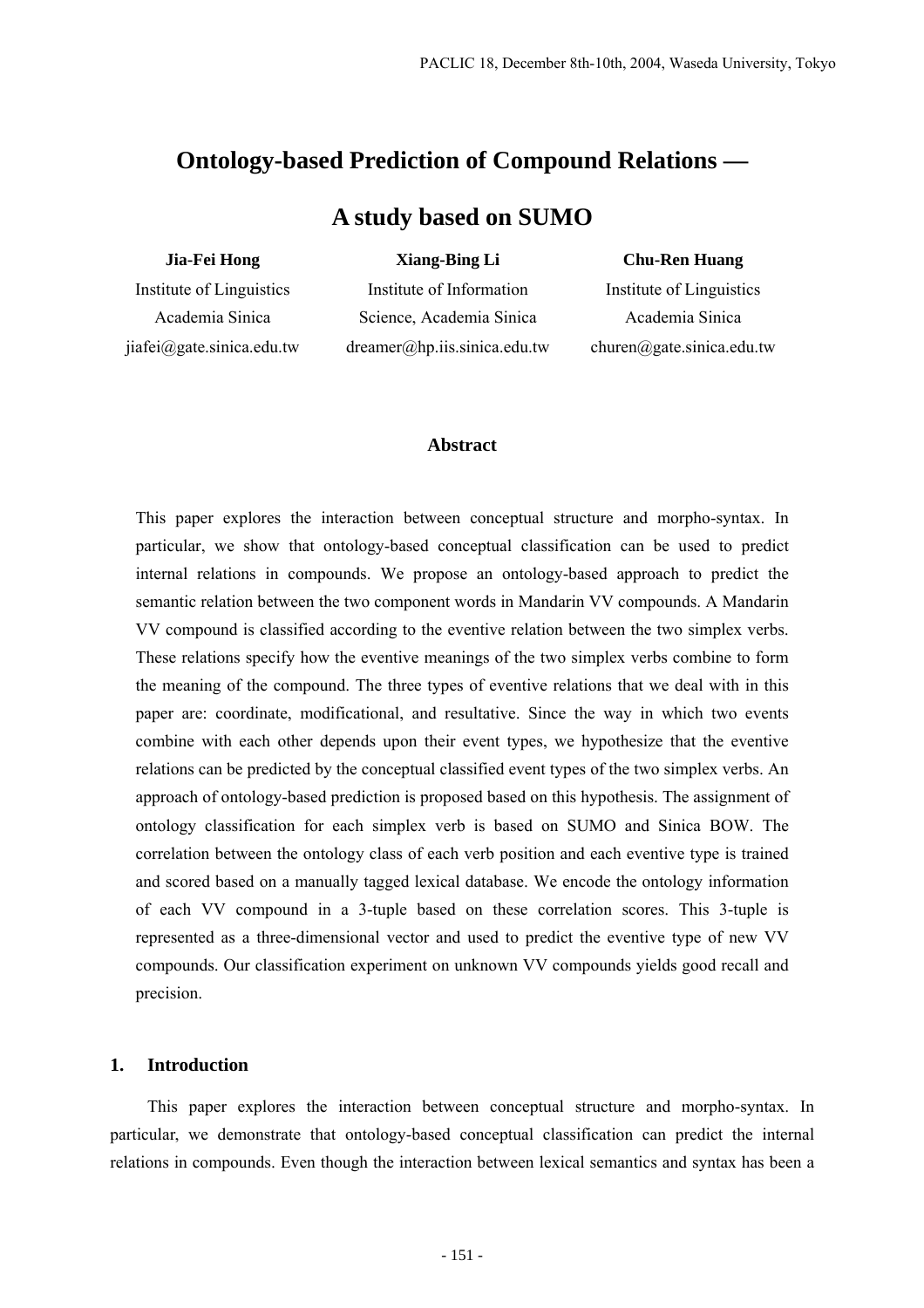# **Ontology-based Prediction of Compound Relations —**

# **A study based on SUMO**

## **Jia-Fei Hong**

## **Xiang-Bing Li**

Institute of Linguistics Academia Sinica jiafei@gate.sinica.edu.tw

Institute of Information Science, Academia Sinica dreamer@hp.iis.sinica.edu.tw **Chu-Ren Huang** 

Institute of Linguistics Academia Sinica churen@gate.sinica.edu.tw

## **Abstract**

This paper explores the interaction between conceptual structure and morpho-syntax. In particular, we show that ontology-based conceptual classification can be used to predict internal relations in compounds. We propose an ontology-based approach to predict the semantic relation between the two component words in Mandarin VV compounds. A Mandarin VV compound is classified according to the eventive relation between the two simplex verbs. These relations specify how the eventive meanings of the two simplex verbs combine to form the meaning of the compound. The three types of eventive relations that we deal with in this paper are: coordinate, modificational, and resultative. Since the way in which two events combine with each other depends upon their event types, we hypothesize that the eventive relations can be predicted by the conceptual classified event types of the two simplex verbs. An approach of ontology-based prediction is proposed based on this hypothesis. The assignment of ontology classification for each simplex verb is based on SUMO and Sinica BOW. The correlation between the ontology class of each verb position and each eventive type is trained and scored based on a manually tagged lexical database. We encode the ontology information of each VV compound in a 3-tuple based on these correlation scores. This 3-tuple is represented as a three-dimensional vector and used to predict the eventive type of new VV compounds. Our classification experiment on unknown VV compounds yields good recall and precision.

# **1. Introduction**

This paper explores the interaction between conceptual structure and morpho-syntax. In particular, we demonstrate that ontology-based conceptual classification can predict the internal relations in compounds. Even though the interaction between lexical semantics and syntax has been a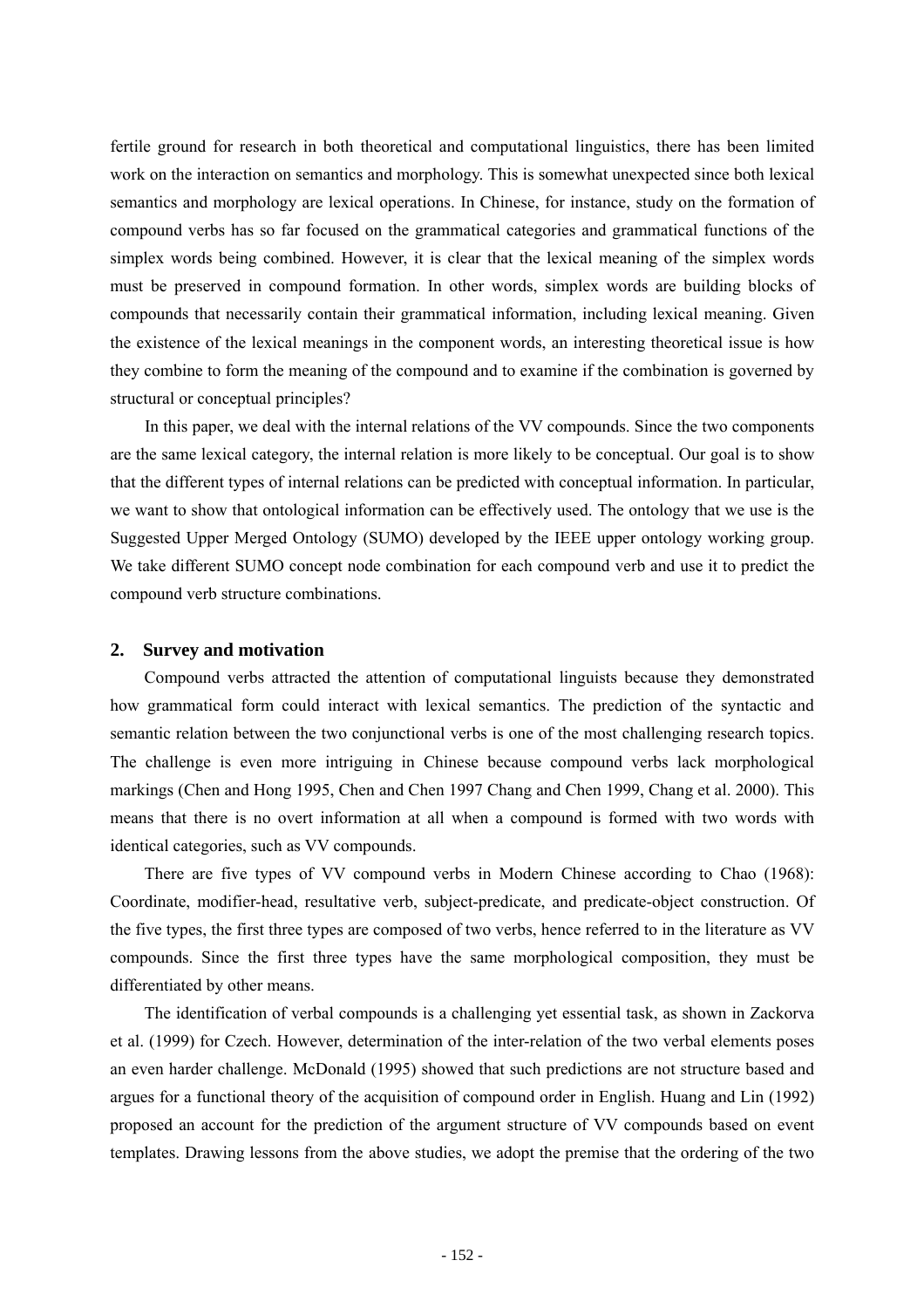fertile ground for research in both theoretical and computational linguistics, there has been limited work on the interaction on semantics and morphology. This is somewhat unexpected since both lexical semantics and morphology are lexical operations. In Chinese, for instance, study on the formation of compound verbs has so far focused on the grammatical categories and grammatical functions of the simplex words being combined. However, it is clear that the lexical meaning of the simplex words must be preserved in compound formation. In other words, simplex words are building blocks of compounds that necessarily contain their grammatical information, including lexical meaning. Given the existence of the lexical meanings in the component words, an interesting theoretical issue is how they combine to form the meaning of the compound and to examine if the combination is governed by structural or conceptual principles?

 In this paper, we deal with the internal relations of the VV compounds. Since the two components are the same lexical category, the internal relation is more likely to be conceptual. Our goal is to show that the different types of internal relations can be predicted with conceptual information. In particular, we want to show that ontological information can be effectively used. The ontology that we use is the Suggested Upper Merged Ontology (SUMO) developed by the IEEE upper ontology working group. We take different SUMO concept node combination for each compound verb and use it to predict the compound verb structure combinations.

### **2. Survey and motivation**

 Compound verbs attracted the attention of computational linguists because they demonstrated how grammatical form could interact with lexical semantics. The prediction of the syntactic and semantic relation between the two conjunctional verbs is one of the most challenging research topics. The challenge is even more intriguing in Chinese because compound verbs lack morphological markings (Chen and Hong 1995, Chen and Chen 1997 Chang and Chen 1999, Chang et al. 2000). This means that there is no overt information at all when a compound is formed with two words with identical categories, such as VV compounds.

 There are five types of VV compound verbs in Modern Chinese according to Chao (1968): Coordinate, modifier-head, resultative verb, subject-predicate, and predicate-object construction. Of the five types, the first three types are composed of two verbs, hence referred to in the literature as VV compounds. Since the first three types have the same morphological composition, they must be differentiated by other means.

 The identification of verbal compounds is a challenging yet essential task, as shown in Zackorva et al. (1999) for Czech. However, determination of the inter-relation of the two verbal elements poses an even harder challenge. McDonald (1995) showed that such predictions are not structure based and argues for a functional theory of the acquisition of compound order in English. Huang and Lin (1992) proposed an account for the prediction of the argument structure of VV compounds based on event templates. Drawing lessons from the above studies, we adopt the premise that the ordering of the two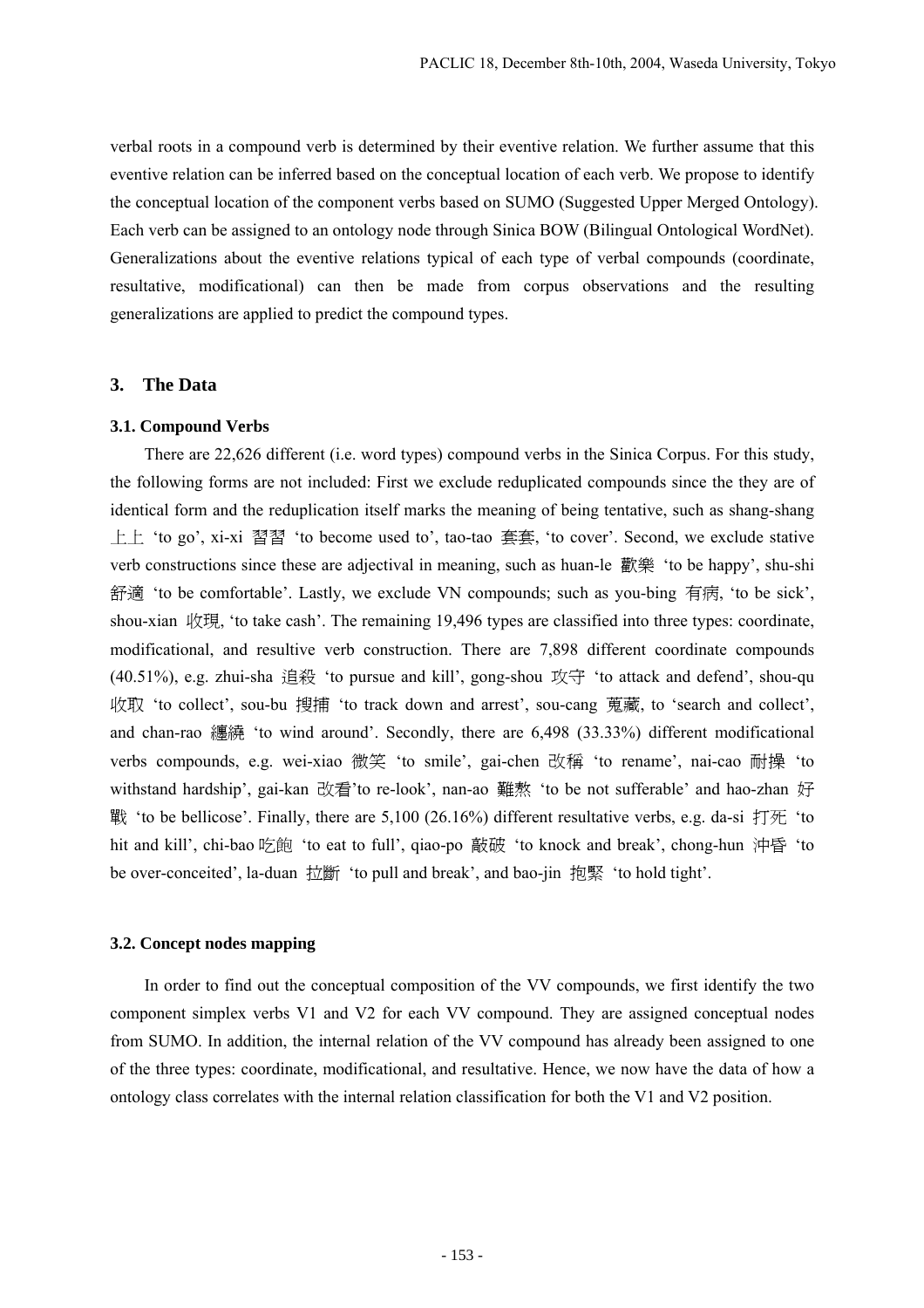verbal roots in a compound verb is determined by their eventive relation. We further assume that this eventive relation can be inferred based on the conceptual location of each verb. We propose to identify the conceptual location of the component verbs based on SUMO (Suggested Upper Merged Ontology). Each verb can be assigned to an ontology node through Sinica BOW (Bilingual Ontological WordNet). Generalizations about the eventive relations typical of each type of verbal compounds (coordinate, resultative, modificational) can then be made from corpus observations and the resulting generalizations are applied to predict the compound types.

## **3. The Data**

#### **3.1. Compound Verbs**

 There are 22,626 different (i.e. word types) compound verbs in the Sinica Corpus. For this study, the following forms are not included: First we exclude reduplicated compounds since the they are of identical form and the reduplication itself marks the meaning of being tentative, such as shang-shang 上上 'to go', xi-xi 習習 'to become used to', tao-tao 套套, 'to cover'. Second, we exclude stative verb constructions since these are adjectival in meaning, such as huan-le 歡樂 'to be happy', shu-shi 舒適 'to be comfortable'. Lastly, we exclude VN compounds; such as you-bing 有病, 'to be sick', shou-xian 收現, 'to take cash'. The remaining 19,496 types are classified into three types: coordinate, modificational, and resultive verb construction. There are 7,898 different coordinate compounds (40.51%), e.g. zhui-sha 追殺 'to pursue and kill', gong-shou 攻守 'to attack and defend', shou-qu 收取 'to collect', sou-bu 搜捕 'to track down and arrest', sou-cang 蒐藏, to 'search and collect', and chan-rao 纏繞 'to wind around'. Secondly, there are 6,498 (33.33%) different modificational verbs compounds, e.g. wei-xiao 微笑 'to smile', gai-chen 改稱 'to rename', nai-cao 耐操 'to withstand hardship', gai-kan 改看'to re-look', nan-ao 難熬 'to be not sufferable' and hao-zhan 好 戰 'to be bellicose'. Finally, there are 5,100 (26.16%) different resultative verbs, e.g. da-si 打死 'to hit and kill', chi-bao 吃飽 'to eat to full', qiao-po 敲破 'to knock and break', chong-hun 沖昏 'to be over-conceited', la-duan 拉斷 'to pull and break', and bao-jin 抱緊 'to hold tight'.

## **3.2. Concept nodes mapping**

 In order to find out the conceptual composition of the VV compounds, we first identify the two component simplex verbs V1 and V2 for each VV compound. They are assigned conceptual nodes from SUMO. In addition, the internal relation of the VV compound has already been assigned to one of the three types: coordinate, modificational, and resultative. Hence, we now have the data of how a ontology class correlates with the internal relation classification for both the V1 and V2 position.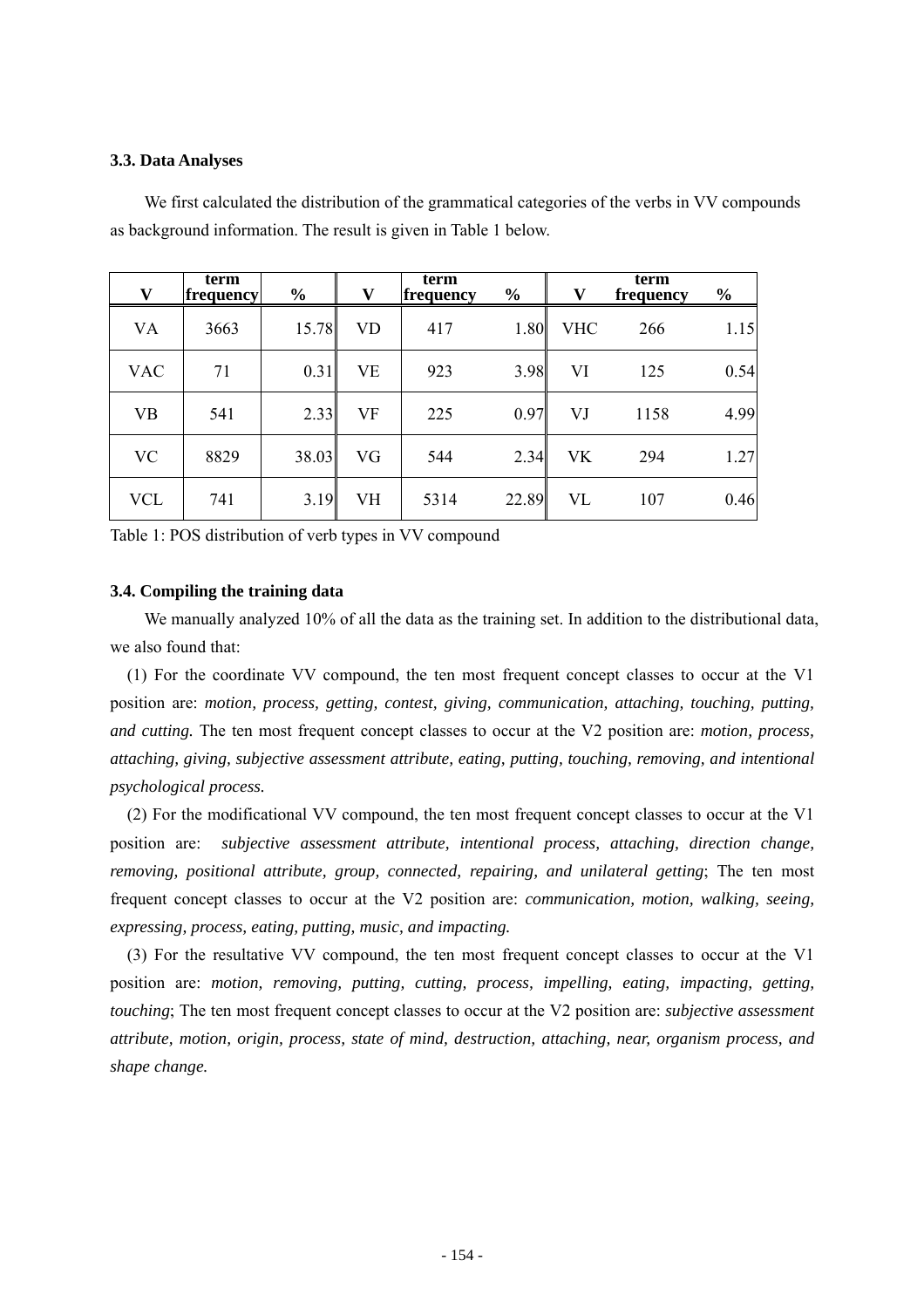## **3.3. Data Analyses**

as background information. The result is given in Table 1 below.

We first calculated the distribution of the grammatical categories of the verbs in VV compounds

| V          | term<br>frequency | $\frac{0}{0}$ | V         | term<br>frequency | $\frac{0}{0}$ | V          | term<br>frequency | $\frac{6}{6}$ |
|------------|-------------------|---------------|-----------|-------------------|---------------|------------|-------------------|---------------|
| <b>VA</b>  | 3663              | 15.78         | <b>VD</b> | 417               | 1.80          | <b>VHC</b> | 266               | 1.15          |
| <b>VAC</b> | 71                | 0.31          | VE        | 923               | 3.98          | VI         | 125               | 0.54          |
| <b>VB</b>  | 541               | 2.33          | VF        | 225               | 0.97          | VJ         | 1158              | 4.99          |
| <b>VC</b>  | 8829              | 38.03         | VG        | 544               | 2.34          | <b>VK</b>  | 294               | 1.27          |
| <b>VCL</b> | 741               | 3.19          | VH        | 5314              | 22.89         | VL         | 107               | 0.46          |

Table 1: POS distribution of verb types in VV compound

#### **3.4. Compiling the training data**

 We manually analyzed 10% of all the data as the training set. In addition to the distributional data, we also found that:

(1) For the coordinate VV compound, the ten most frequent concept classes to occur at the V1 position are: *motion, process, getting, contest, giving, communication, attaching, touching, putting, and cutting.* The ten most frequent concept classes to occur at the V2 position are: *motion, process, attaching, giving, subjective assessment attribute, eating, putting, touching, removing, and intentional psychological process.* 

(2) For the modificational VV compound, the ten most frequent concept classes to occur at the V1 position are: *subjective assessment attribute, intentional process, attaching, direction change, removing, positional attribute, group, connected, repairing, and unilateral getting*; The ten most frequent concept classes to occur at the V2 position are: *communication, motion, walking, seeing, expressing, process, eating, putting, music, and impacting.* 

(3) For the resultative VV compound, the ten most frequent concept classes to occur at the V1 position are: *motion, removing, putting, cutting, process, impelling, eating, impacting, getting, touching*; The ten most frequent concept classes to occur at the V2 position are: *subjective assessment attribute, motion, origin, process, state of mind, destruction, attaching, near, organism process, and shape change.*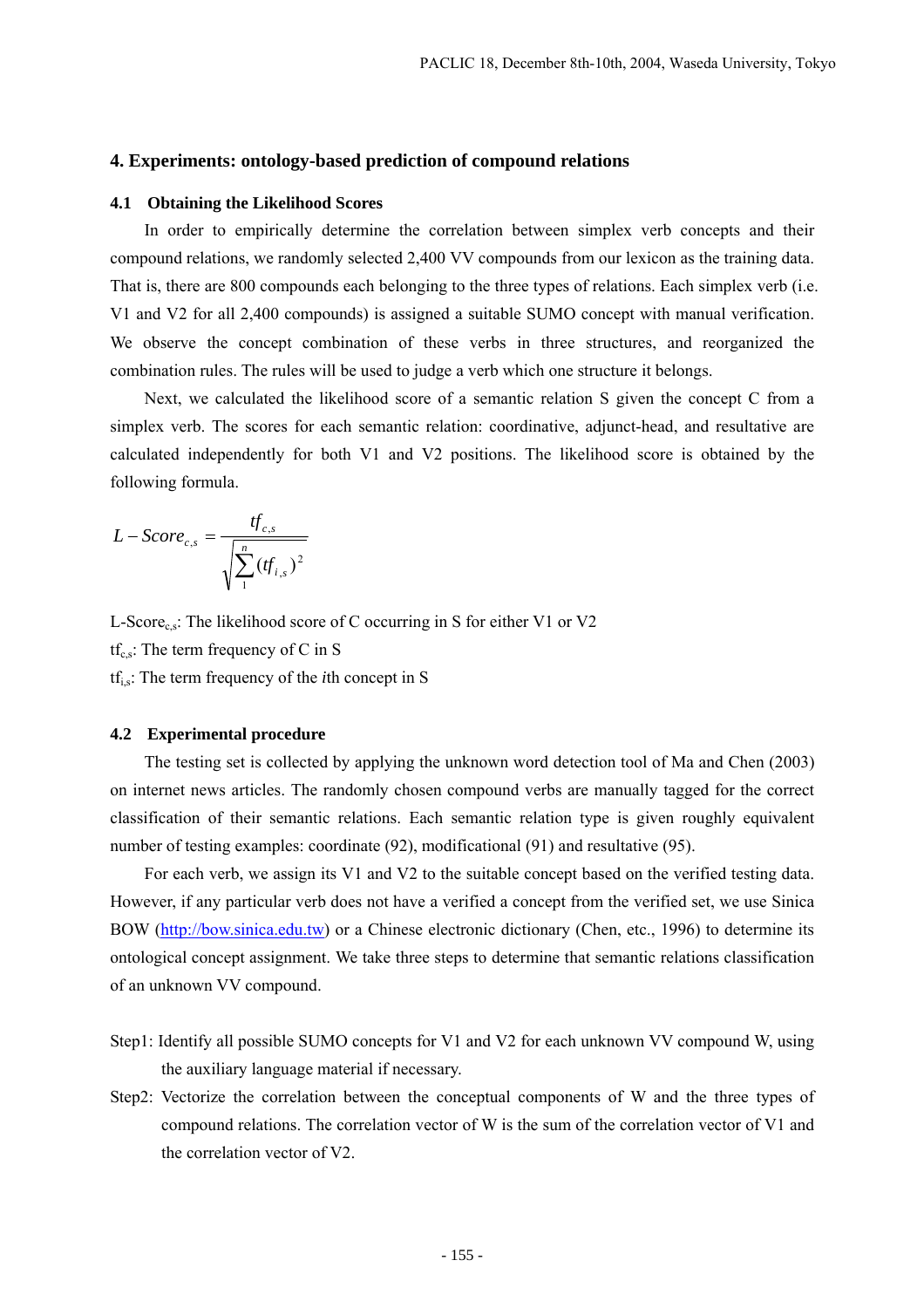## **4. Experiments: ontology-based prediction of compound relations**

## **4.1 Obtaining the Likelihood Scores**

 In order to empirically determine the correlation between simplex verb concepts and their compound relations, we randomly selected 2,400 VV compounds from our lexicon as the training data. That is, there are 800 compounds each belonging to the three types of relations. Each simplex verb (i.e. V1 and V2 for all 2,400 compounds) is assigned a suitable SUMO concept with manual verification. We observe the concept combination of these verbs in three structures, and reorganized the combination rules. The rules will be used to judge a verb which one structure it belongs.

 Next, we calculated the likelihood score of a semantic relation S given the concept C from a simplex verb. The scores for each semantic relation: coordinative, adjunct-head, and resultative are calculated independently for both V1 and V2 positions. The likelihood score is obtained by the following formula.

$$
L-Score_{c,s} = \frac{tf_{c,s}}{\sqrt{\sum_{i=1}^{n} (tf_{i,s})^2}}
$$

L-Score<sub>c,s</sub>: The likelihood score of C occurring in S for either V1 or V2

 $tf_{cs}$ : The term frequency of C in S

tfi,s: The term frequency of the *i*th concept in S

#### **4.2 Experimental procedure**

 The testing set is collected by applying the unknown word detection tool of Ma and Chen (2003) on internet news articles. The randomly chosen compound verbs are manually tagged for the correct classification of their semantic relations. Each semantic relation type is given roughly equivalent number of testing examples: coordinate (92), modificational (91) and resultative (95).

 For each verb, we assign its V1 and V2 to the suitable concept based on the verified testing data. However, if any particular verb does not have a verified a concept from the verified set, we use Sinica BOW (http://bow.sinica.edu.tw) or a Chinese electronic dictionary (Chen, etc., 1996) to determine its ontological concept assignment. We take three steps to determine that semantic relations classification of an unknown VV compound.

- Step1: Identify all possible SUMO concepts for V1 and V2 for each unknown VV compound W, using the auxiliary language material if necessary.
- Step2: Vectorize the correlation between the conceptual components of W and the three types of compound relations. The correlation vector of W is the sum of the correlation vector of V1 and the correlation vector of V2.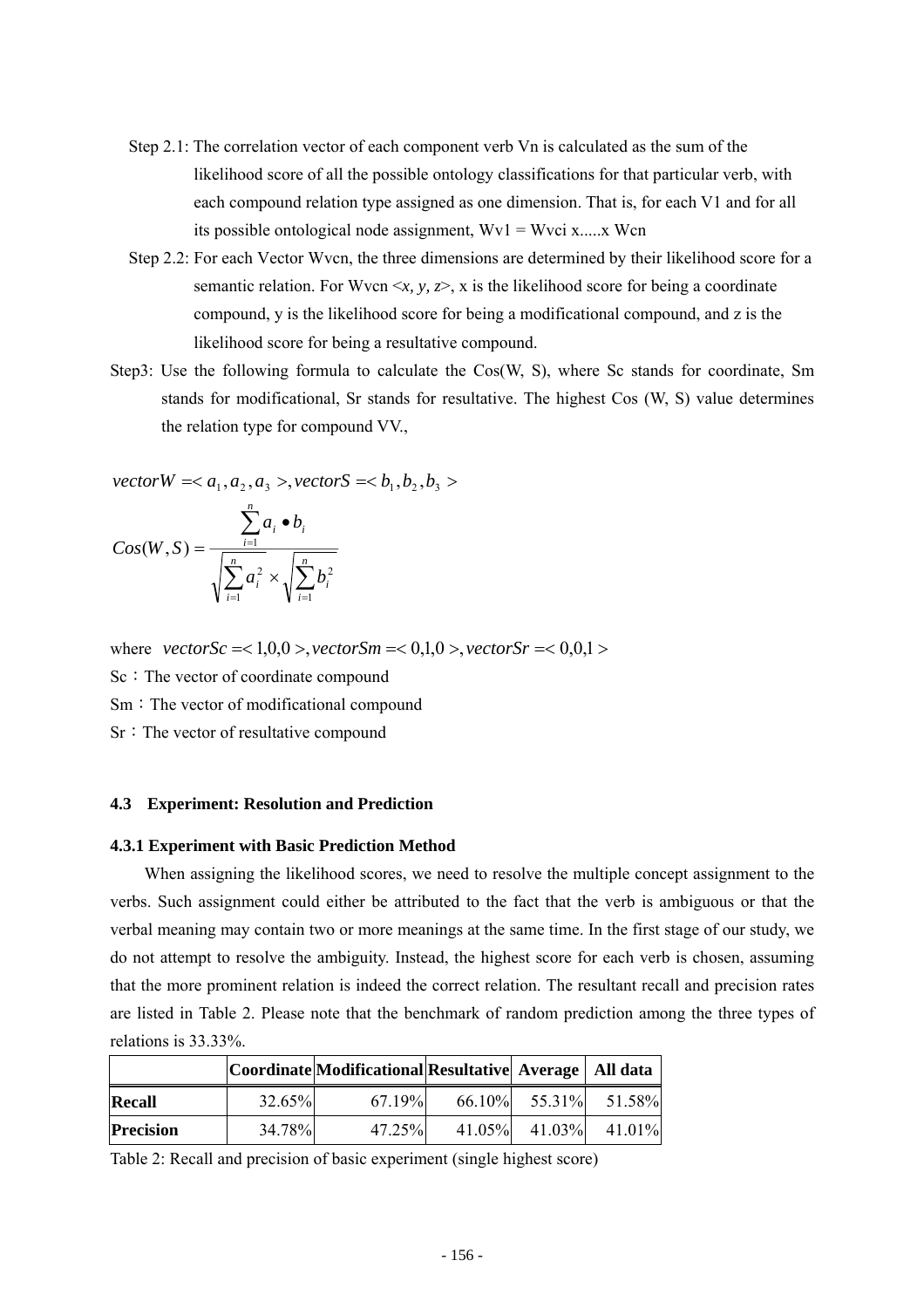- Step 2.1: The correlation vector of each component verb Vn is calculated as the sum of the likelihood score of all the possible ontology classifications for that particular verb, with each compound relation type assigned as one dimension. That is, for each V1 and for all its possible ontological node assignment,  $Wv1 = Wvci x...x$  Wcn
- Step 2.2: For each Vector Wvcn, the three dimensions are determined by their likelihood score for a semantic relation. For Wvcn  $\langle x, y, z \rangle$ , x is the likelihood score for being a coordinate compound, y is the likelihood score for being a modificational compound, and z is the likelihood score for being a resultative compound.
- Step3: Use the following formula to calculate the Cos(W, S), where Sc stands for coordinate, Sm stands for modificational, Sr stands for resultative. The highest Cos (W, S) value determines the relation type for compound VV.,

 $vectorW = , vectorS = **b_1, b_2, b_3>**$ 

$$
Cos(W, S) = \frac{\sum_{i=1}^{n} a_i \bullet b_i}{\sqrt{\sum_{i=1}^{n} a_i^2} \times \sqrt{\sum_{i=1}^{n} b_i^2}}
$$

where  $vectorSc = <1,0,0>, vectorSm = <0,1,0, vector$   $sr = <0,0,1>$ 

Sc: The vector of coordinate compound

Sm: The vector of modificational compound

Sr: The vector of resultative compound

## **4.3 Experiment: Resolution and Prediction**

## **4.3.1 Experiment with Basic Prediction Method**

 When assigning the likelihood scores, we need to resolve the multiple concept assignment to the verbs. Such assignment could either be attributed to the fact that the verb is ambiguous or that the verbal meaning may contain two or more meanings at the same time. In the first stage of our study, we do not attempt to resolve the ambiguity. Instead, the highest score for each verb is chosen, assuming that the more prominent relation is indeed the correct relation. The resultant recall and precision rates are listed in Table 2. Please note that the benchmark of random prediction among the three types of relations is 33.33%.

|                  |        | Coordinate Modificational Resultative  Average   All data |  |                               |
|------------------|--------|-----------------------------------------------------------|--|-------------------------------|
| Recall           | 32.65% | 67.19%                                                    |  | $66.10\%$ $55.31\%$ $51.58\%$ |
| <b>Precision</b> | 34.78% | 47.25%                                                    |  | $41.05\%$ $41.03\%$ $41.01\%$ |

Table 2: Recall and precision of basic experiment (single highest score)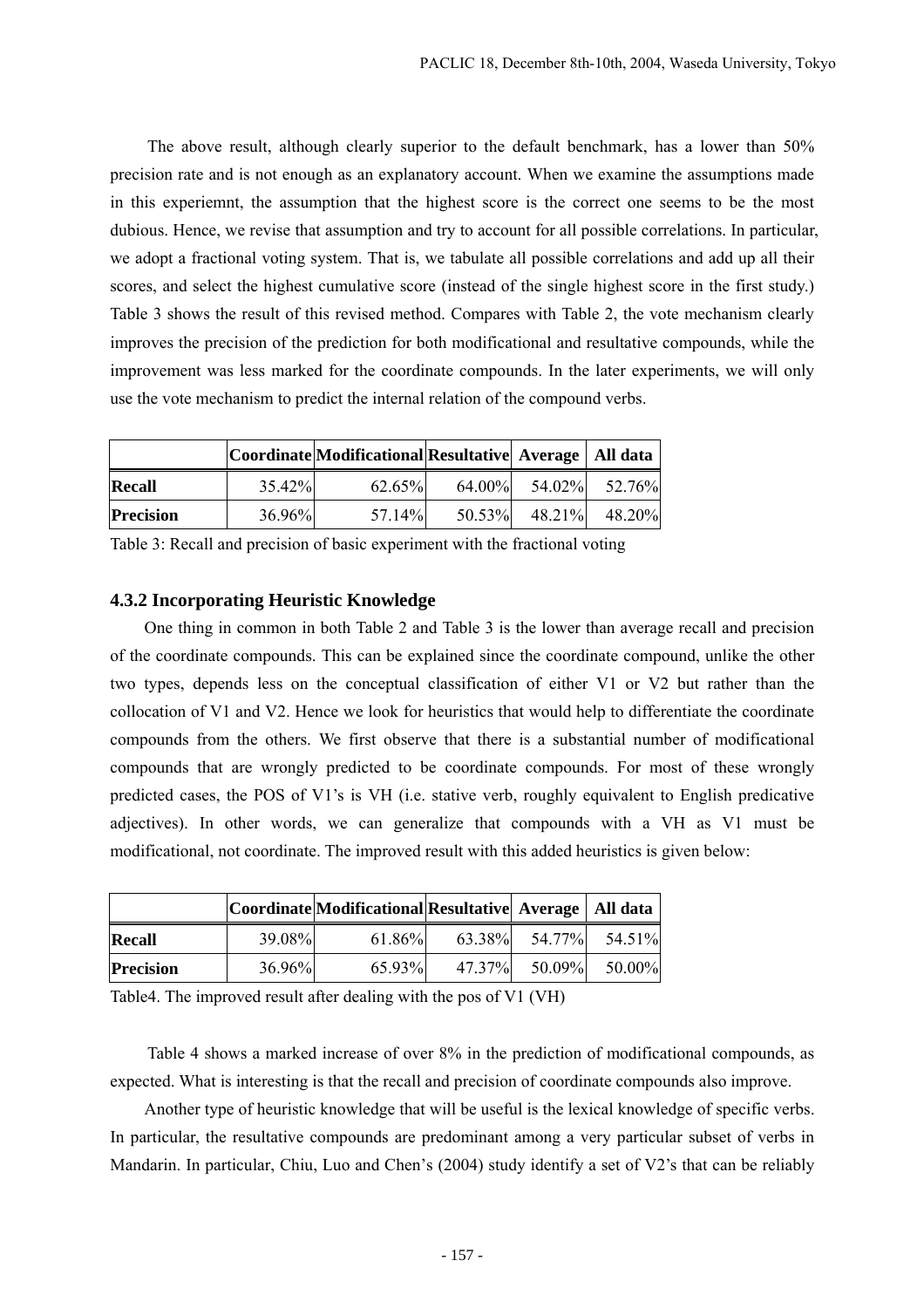The above result, although clearly superior to the default benchmark, has a lower than 50% precision rate and is not enough as an explanatory account. When we examine the assumptions made in this experiemnt, the assumption that the highest score is the correct one seems to be the most dubious. Hence, we revise that assumption and try to account for all possible correlations. In particular, we adopt a fractional voting system. That is, we tabulate all possible correlations and add up all their scores, and select the highest cumulative score (instead of the single highest score in the first study.) Table 3 shows the result of this revised method. Compares with Table 2, the vote mechanism clearly improves the precision of the prediction for both modificational and resultative compounds, while the improvement was less marked for the coordinate compounds. In the later experiments, we will only use the vote mechanism to predict the internal relation of the compound verbs.

|                  |        | Coordinate Modificational Resultative  Average   All data |           |        |        |
|------------------|--------|-----------------------------------------------------------|-----------|--------|--------|
| <b>Recall</b>    | 35.42% | 62.65%                                                    | $64.00\%$ | 54.02% | 52.76% |
| <b>Precision</b> | 36.96% | 57.14%                                                    | 50.53%    | 48.21% | 48.20% |

Table 3: Recall and precision of basic experiment with the fractional voting

## **4.3.2 Incorporating Heuristic Knowledge**

 One thing in common in both Table 2 and Table 3 is the lower than average recall and precision of the coordinate compounds. This can be explained since the coordinate compound, unlike the other two types, depends less on the conceptual classification of either V1 or V2 but rather than the collocation of V1 and V2. Hence we look for heuristics that would help to differentiate the coordinate compounds from the others. We first observe that there is a substantial number of modificational compounds that are wrongly predicted to be coordinate compounds. For most of these wrongly predicted cases, the POS of V1's is VH (i.e. stative verb, roughly equivalent to English predicative adjectives). In other words, we can generalize that compounds with a VH as V1 must be modificational, not coordinate. The improved result with this added heuristics is given below:

|                  |           | Coordinate Modificational Resultative  Average   All data |        |        |               |
|------------------|-----------|-----------------------------------------------------------|--------|--------|---------------|
| Recall           | 39.08%    | 61.86%                                                    | 63.38% |        | 54.77% 54.51% |
| <b>Precision</b> | $36.96\%$ | 65.93%                                                    | 47.37% | 50.09% | 50.00%        |

Table4. The improved result after dealing with the pos of V1 (VH)

 Table 4 shows a marked increase of over 8% in the prediction of modificational compounds, as expected. What is interesting is that the recall and precision of coordinate compounds also improve.

 Another type of heuristic knowledge that will be useful is the lexical knowledge of specific verbs. In particular, the resultative compounds are predominant among a very particular subset of verbs in Mandarin. In particular, Chiu, Luo and Chen's (2004) study identify a set of V2's that can be reliably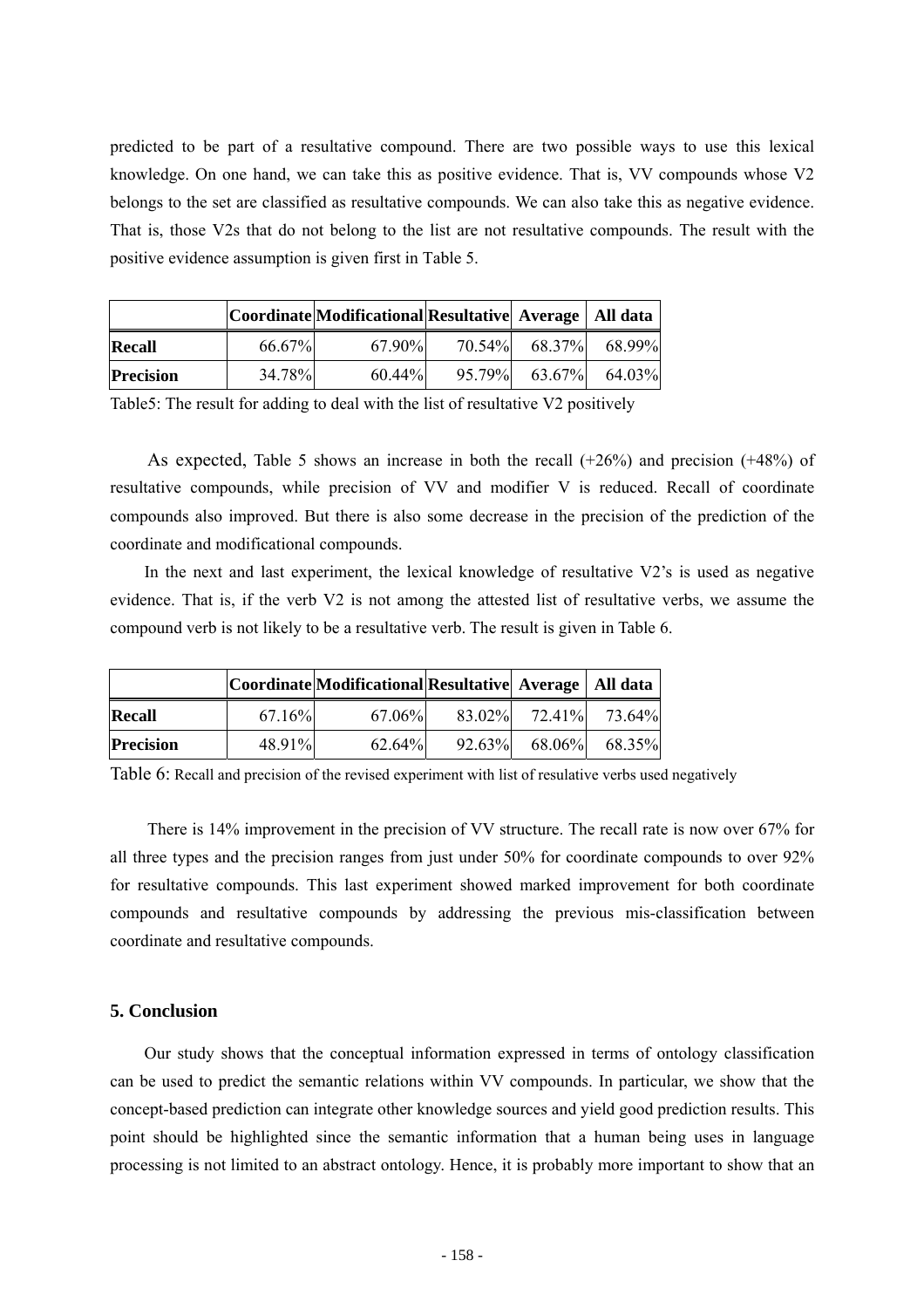predicted to be part of a resultative compound. There are two possible ways to use this lexical knowledge. On one hand, we can take this as positive evidence. That is, VV compounds whose V2 belongs to the set are classified as resultative compounds. We can also take this as negative evidence. That is, those V2s that do not belong to the list are not resultative compounds. The result with the positive evidence assumption is given first in Table 5.

|                  |        | Coordinate Modificational Resultative  Average   All data |        |        |               |
|------------------|--------|-----------------------------------------------------------|--------|--------|---------------|
| Recall           | 66.67% | $67.90\%$                                                 | 70.54% |        | 68.37% 68.99% |
| <b>Precision</b> | 34.78% | $60.44\%$                                                 | 95.79% | 63.67% | 64.03%        |

Table5: The result for adding to deal with the list of resultative V2 positively

As expected, Table 5 shows an increase in both the recall  $(+26%)$  and precision  $(+48%)$  of resultative compounds, while precision of VV and modifier V is reduced. Recall of coordinate compounds also improved. But there is also some decrease in the precision of the prediction of the coordinate and modificational compounds.

 In the next and last experiment, the lexical knowledge of resultative V2's is used as negative evidence. That is, if the verb V2 is not among the attested list of resultative verbs, we assume the compound verb is not likely to be a resultative verb. The result is given in Table 6.

|                  |        | Coordinate Modificational Resultative  Average   All data |           |        |                      |
|------------------|--------|-----------------------------------------------------------|-----------|--------|----------------------|
| Recall           | 67.16% | 67.06%                                                    |           |        | 83.02% 72.41% 73.64% |
| <b>Precision</b> | 48.91% | 62.64%                                                    | $92.63\%$ | 68.06% | 68.35%               |

Table 6: Recall and precision of the revised experiment with list of resulative verbs used negatively

 There is 14% improvement in the precision of VV structure. The recall rate is now over 67% for all three types and the precision ranges from just under 50% for coordinate compounds to over 92% for resultative compounds. This last experiment showed marked improvement for both coordinate compounds and resultative compounds by addressing the previous mis-classification between coordinate and resultative compounds.

## **5. Conclusion**

 Our study shows that the conceptual information expressed in terms of ontology classification can be used to predict the semantic relations within VV compounds. In particular, we show that the concept-based prediction can integrate other knowledge sources and yield good prediction results. This point should be highlighted since the semantic information that a human being uses in language processing is not limited to an abstract ontology. Hence, it is probably more important to show that an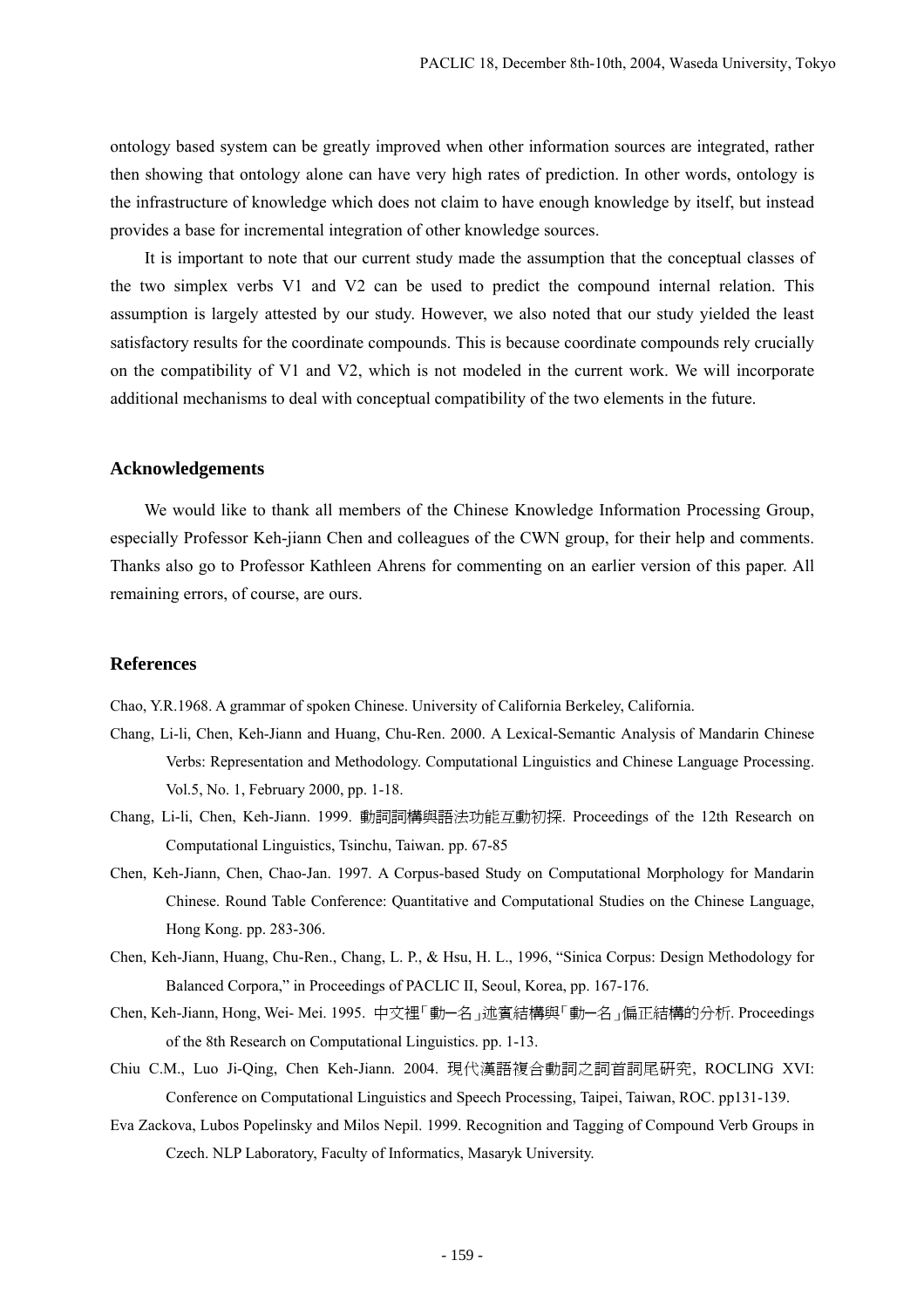ontology based system can be greatly improved when other information sources are integrated, rather then showing that ontology alone can have very high rates of prediction. In other words, ontology is the infrastructure of knowledge which does not claim to have enough knowledge by itself, but instead provides a base for incremental integration of other knowledge sources.

 It is important to note that our current study made the assumption that the conceptual classes of the two simplex verbs V1 and V2 can be used to predict the compound internal relation. This assumption is largely attested by our study. However, we also noted that our study yielded the least satisfactory results for the coordinate compounds. This is because coordinate compounds rely crucially on the compatibility of V1 and V2, which is not modeled in the current work. We will incorporate additional mechanisms to deal with conceptual compatibility of the two elements in the future.

## **Acknowledgements**

 We would like to thank all members of the Chinese Knowledge Information Processing Group, especially Professor Keh-jiann Chen and colleagues of the CWN group, for their help and comments. Thanks also go to Professor Kathleen Ahrens for commenting on an earlier version of this paper. All remaining errors, of course, are ours.

# **References**

Chao, Y.R.1968. A grammar of spoken Chinese. University of California Berkeley, California.

- Chang, Li-li, Chen, Keh-Jiann and Huang, Chu-Ren. 2000. A Lexical-Semantic Analysis of Mandarin Chinese Verbs: Representation and Methodology. Computational Linguistics and Chinese Language Processing. Vol.5, No. 1, February 2000, pp. 1-18.
- Chang, Li-li, Chen, Keh-Jiann. 1999. 動詞詞構與語法功能互動初探. Proceedings of the 12th Research on Computational Linguistics, Tsinchu, Taiwan. pp. 67-85
- Chen, Keh-Jiann, Chen, Chao-Jan. 1997. A Corpus-based Study on Computational Morphology for Mandarin Chinese. Round Table Conference: Quantitative and Computational Studies on the Chinese Language, Hong Kong. pp. 283-306.
- Chen, Keh-Jiann, Huang, Chu-Ren., Chang, L. P., & Hsu, H. L., 1996, "Sinica Corpus: Design Methodology for Balanced Corpora," in Proceedings of PACLIC II, Seoul, Korea, pp. 167-176.
- Chen, Keh-Jiann, Hong, Wei- Mei. 1995. 中文裡「動─名」述賓結構與「動─名」偏正結構的分析. Proceedings of the 8th Research on Computational Linguistics. pp. 1-13.
- Chiu C.M., Luo Ji-Qing, Chen Keh-Jiann. 2004. 現代漢語複合動詞之詞首詞尾研究, ROCLING XVI: Conference on Computational Linguistics and Speech Processing, Taipei, Taiwan, ROC. pp131-139.
- Eva Zackova, Lubos Popelinsky and Milos Nepil. 1999. Recognition and Tagging of Compound Verb Groups in Czech. NLP Laboratory, Faculty of Informatics, Masaryk University.